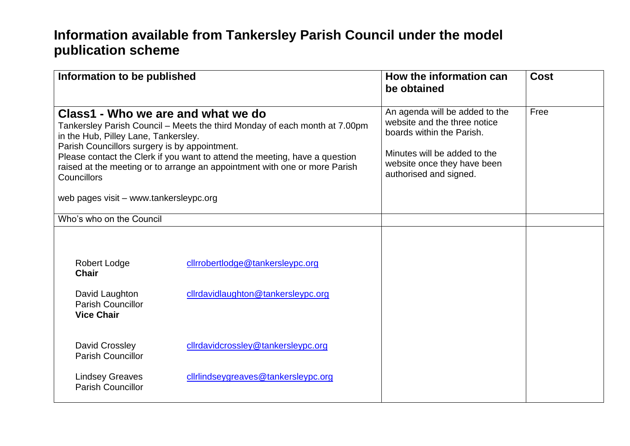## **Information available from Tankersley Parish Council under the model publication scheme**

| Information to be published                                                                                                                                                                                                                                                                                                                                                                                                            |                                     | How the information can<br>be obtained                                                                                                                                               | Cost |
|----------------------------------------------------------------------------------------------------------------------------------------------------------------------------------------------------------------------------------------------------------------------------------------------------------------------------------------------------------------------------------------------------------------------------------------|-------------------------------------|--------------------------------------------------------------------------------------------------------------------------------------------------------------------------------------|------|
| Class1 - Who we are and what we do<br>Tankersley Parish Council – Meets the third Monday of each month at 7.00pm<br>in the Hub, Pilley Lane, Tankersley.<br>Parish Councillors surgery is by appointment.<br>Please contact the Clerk if you want to attend the meeting, have a question<br>raised at the meeting or to arrange an appointment with one or more Parish<br><b>Councillors</b><br>web pages visit - www.tankersleypc.org |                                     | An agenda will be added to the<br>website and the three notice<br>boards within the Parish.<br>Minutes will be added to the<br>website once they have been<br>authorised and signed. | Free |
|                                                                                                                                                                                                                                                                                                                                                                                                                                        |                                     |                                                                                                                                                                                      |      |
| Who's who on the Council                                                                                                                                                                                                                                                                                                                                                                                                               |                                     |                                                                                                                                                                                      |      |
| <b>Robert Lodge</b><br><b>Chair</b>                                                                                                                                                                                                                                                                                                                                                                                                    | clirrobertlodge@tankersleypc.org    |                                                                                                                                                                                      |      |
| David Laughton<br><b>Parish Councillor</b><br><b>Vice Chair</b>                                                                                                                                                                                                                                                                                                                                                                        | clirdavidlaughton@tankersleypc.org  |                                                                                                                                                                                      |      |
| David Crossley<br><b>Parish Councillor</b>                                                                                                                                                                                                                                                                                                                                                                                             | clirdavidcrossley@tankersleypc.org  |                                                                                                                                                                                      |      |
| <b>Lindsey Greaves</b><br><b>Parish Councillor</b>                                                                                                                                                                                                                                                                                                                                                                                     | cliriindseygreaves@tankersleypc.org |                                                                                                                                                                                      |      |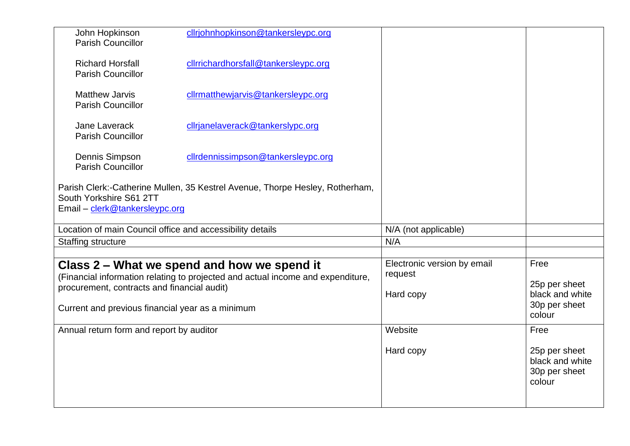| John Hopkinson<br><b>Parish Councillor</b>                | cllrjohnhopkinson@tankersleypc.org                                              |                             |                                                             |
|-----------------------------------------------------------|---------------------------------------------------------------------------------|-----------------------------|-------------------------------------------------------------|
| <b>Richard Horsfall</b><br><b>Parish Councillor</b>       | cllrrichardhorsfall@tankersleypc.org                                            |                             |                                                             |
| <b>Matthew Jarvis</b><br><b>Parish Councillor</b>         | cllrmatthewjarvis@tankersleypc.org                                              |                             |                                                             |
| Jane Laverack<br><b>Parish Councillor</b>                 | cllrjanelaverack@tankerslypc.org                                                |                             |                                                             |
| Dennis Simpson<br><b>Parish Councillor</b>                | cllrdennissimpson@tankersleypc.org                                              |                             |                                                             |
| South Yorkshire S61 2TT<br>Email - clerk@tankersleypc.org | Parish Clerk:-Catherine Mullen, 35 Kestrel Avenue, Thorpe Hesley, Rotherham,    |                             |                                                             |
| Location of main Council office and accessibility details |                                                                                 | N/A (not applicable)        |                                                             |
| <b>Staffing structure</b>                                 |                                                                                 | N/A                         |                                                             |
|                                                           |                                                                                 |                             |                                                             |
|                                                           | Class 2 – What we spend and how we spend it                                     | Electronic version by email | Free                                                        |
|                                                           | (Financial information relating to projected and actual income and expenditure, | request                     |                                                             |
| procurement, contracts and financial audit)               |                                                                                 | Hard copy                   | 25p per sheet<br>black and white                            |
| Current and previous financial year as a minimum          |                                                                                 |                             | 30p per sheet<br>colour                                     |
| Annual return form and report by auditor                  |                                                                                 | Website                     | Free                                                        |
|                                                           |                                                                                 | Hard copy                   | 25p per sheet<br>black and white<br>30p per sheet<br>colour |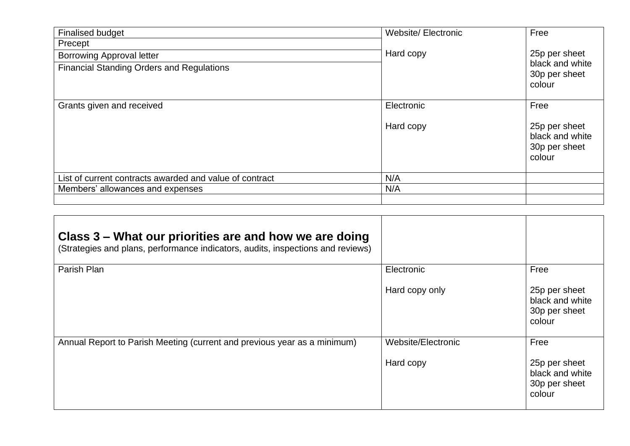| <b>Finalised budget</b>                                 | <b>Website/Electronic</b> | Free                                                        |
|---------------------------------------------------------|---------------------------|-------------------------------------------------------------|
| Precept                                                 |                           |                                                             |
| <b>Borrowing Approval letter</b>                        | Hard copy                 | 25p per sheet                                               |
| <b>Financial Standing Orders and Regulations</b>        |                           | black and white<br>30p per sheet<br>colour                  |
| Grants given and received                               | Electronic                | Free                                                        |
|                                                         | Hard copy                 | 25p per sheet<br>black and white<br>30p per sheet<br>colour |
| List of current contracts awarded and value of contract | N/A                       |                                                             |
| Members' allowances and expenses                        | N/A                       |                                                             |
|                                                         |                           |                                                             |

| Class 3 – What our priorities are and how we are doing<br>(Strategies and plans, performance indicators, audits, inspections and reviews) |                    |                                                             |
|-------------------------------------------------------------------------------------------------------------------------------------------|--------------------|-------------------------------------------------------------|
| Parish Plan                                                                                                                               | Electronic         | Free                                                        |
|                                                                                                                                           | Hard copy only     | 25p per sheet<br>black and white<br>30p per sheet<br>colour |
| Annual Report to Parish Meeting (current and previous year as a minimum)                                                                  | Website/Electronic | Free                                                        |
|                                                                                                                                           | Hard copy          | 25p per sheet<br>black and white<br>30p per sheet<br>colour |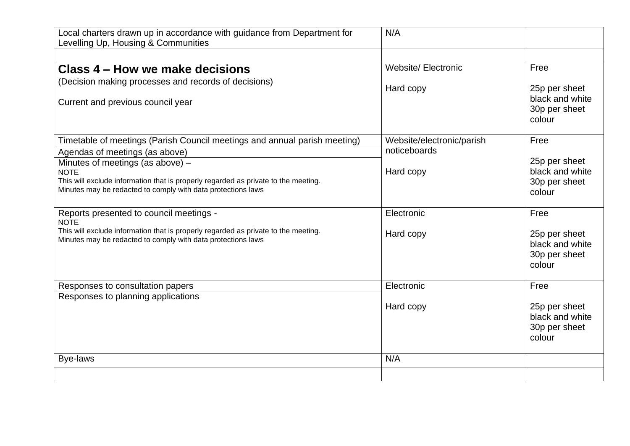| Local charters drawn up in accordance with guidance from Department for<br>Levelling Up, Housing & Communities                                     | N/A                        |                                                             |
|----------------------------------------------------------------------------------------------------------------------------------------------------|----------------------------|-------------------------------------------------------------|
|                                                                                                                                                    |                            |                                                             |
| Class 4 – How we make decisions                                                                                                                    | <b>Website/ Electronic</b> | Free                                                        |
| (Decision making processes and records of decisions)<br>Current and previous council year                                                          | Hard copy                  | 25p per sheet<br>black and white<br>30p per sheet<br>colour |
| Timetable of meetings (Parish Council meetings and annual parish meeting)                                                                          | Website/electronic/parish  | Free                                                        |
| Agendas of meetings (as above)                                                                                                                     | noticeboards               | 25p per sheet                                               |
| Minutes of meetings (as above) -<br><b>NOTE</b>                                                                                                    | Hard copy                  | black and white                                             |
| This will exclude information that is properly regarded as private to the meeting.<br>Minutes may be redacted to comply with data protections laws |                            | 30p per sheet<br>colour                                     |
| Reports presented to council meetings -<br><b>NOTE</b>                                                                                             | Electronic                 | Free                                                        |
| This will exclude information that is properly regarded as private to the meeting.<br>Minutes may be redacted to comply with data protections laws | Hard copy                  | 25p per sheet<br>black and white<br>30p per sheet<br>colour |
| Responses to consultation papers                                                                                                                   | Electronic                 | Free                                                        |
| Responses to planning applications                                                                                                                 | Hard copy                  | 25p per sheet<br>black and white<br>30p per sheet<br>colour |
| <b>Bye-laws</b>                                                                                                                                    | N/A                        |                                                             |
|                                                                                                                                                    |                            |                                                             |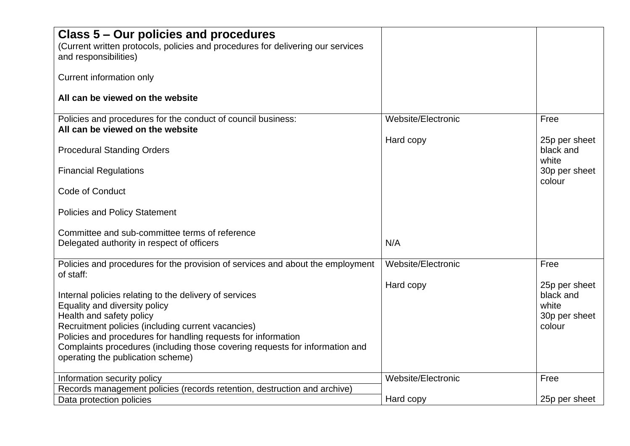| Class 5 – Our policies and procedures<br>(Current written protocols, policies and procedures for delivering our services                                                                                                                                                                                                                                        |                    |                                                                |
|-----------------------------------------------------------------------------------------------------------------------------------------------------------------------------------------------------------------------------------------------------------------------------------------------------------------------------------------------------------------|--------------------|----------------------------------------------------------------|
| and responsibilities)<br>Current information only                                                                                                                                                                                                                                                                                                               |                    |                                                                |
| All can be viewed on the website                                                                                                                                                                                                                                                                                                                                |                    |                                                                |
| Policies and procedures for the conduct of council business:<br>All can be viewed on the website                                                                                                                                                                                                                                                                | Website/Electronic | Free                                                           |
| <b>Procedural Standing Orders</b>                                                                                                                                                                                                                                                                                                                               | Hard copy          | 25p per sheet<br>black and<br>white                            |
| <b>Financial Regulations</b>                                                                                                                                                                                                                                                                                                                                    |                    | 30p per sheet<br>colour                                        |
| Code of Conduct                                                                                                                                                                                                                                                                                                                                                 |                    |                                                                |
| <b>Policies and Policy Statement</b><br>Committee and sub-committee terms of reference                                                                                                                                                                                                                                                                          |                    |                                                                |
| Delegated authority in respect of officers                                                                                                                                                                                                                                                                                                                      | N/A                |                                                                |
| Policies and procedures for the provision of services and about the employment<br>of staff:                                                                                                                                                                                                                                                                     | Website/Electronic | Free                                                           |
| Internal policies relating to the delivery of services<br>Equality and diversity policy<br>Health and safety policy<br>Recruitment policies (including current vacancies)<br>Policies and procedures for handling requests for information<br>Complaints procedures (including those covering requests for information and<br>operating the publication scheme) | Hard copy          | 25p per sheet<br>black and<br>white<br>30p per sheet<br>colour |
| Information security policy<br>Records management policies (records retention, destruction and archive)                                                                                                                                                                                                                                                         | Website/Electronic | Free                                                           |
| Data protection policies                                                                                                                                                                                                                                                                                                                                        | Hard copy          | 25p per sheet                                                  |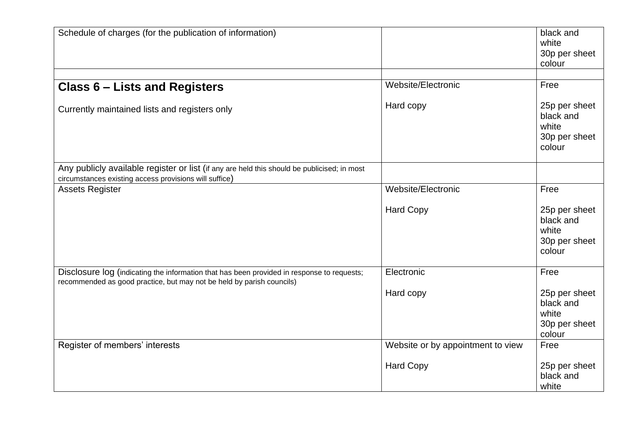| Schedule of charges (for the publication of information)                                                                                                            |                                   | black and<br>white<br>30p per sheet<br>colour                  |
|---------------------------------------------------------------------------------------------------------------------------------------------------------------------|-----------------------------------|----------------------------------------------------------------|
| <b>Class 6 - Lists and Registers</b>                                                                                                                                | Website/Electronic                | Free                                                           |
| Currently maintained lists and registers only                                                                                                                       | Hard copy                         | 25p per sheet<br>black and<br>white<br>30p per sheet<br>colour |
| Any publicly available register or list (if any are held this should be publicised; in most<br>circumstances existing access provisions will suffice)               |                                   |                                                                |
| <b>Assets Register</b>                                                                                                                                              | Website/Electronic                | Free                                                           |
|                                                                                                                                                                     | <b>Hard Copy</b>                  | 25p per sheet<br>black and<br>white<br>30p per sheet<br>colour |
| Disclosure log (indicating the information that has been provided in response to requests;<br>recommended as good practice, but may not be held by parish councils) | Electronic                        | Free                                                           |
|                                                                                                                                                                     | Hard copy                         | 25p per sheet<br>black and<br>white<br>30p per sheet<br>colour |
| Register of members' interests                                                                                                                                      | Website or by appointment to view | Free                                                           |
|                                                                                                                                                                     | <b>Hard Copy</b>                  | 25p per sheet<br>black and<br>white                            |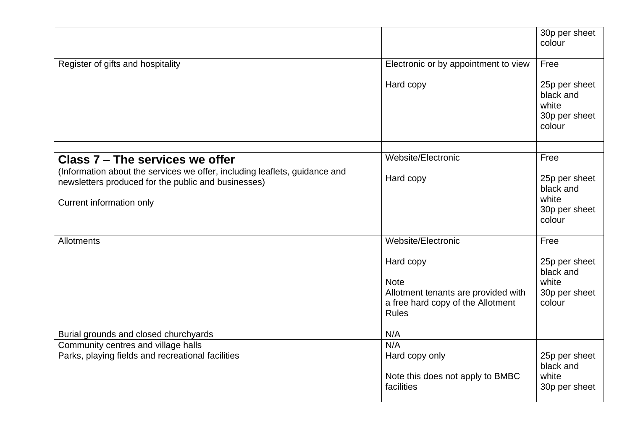|                                                                                                                                   |                                                                                          | 30p per sheet<br>colour                                        |
|-----------------------------------------------------------------------------------------------------------------------------------|------------------------------------------------------------------------------------------|----------------------------------------------------------------|
|                                                                                                                                   |                                                                                          |                                                                |
| Register of gifts and hospitality                                                                                                 | Electronic or by appointment to view                                                     | Free                                                           |
|                                                                                                                                   | Hard copy                                                                                | 25p per sheet<br>black and<br>white<br>30p per sheet<br>colour |
|                                                                                                                                   |                                                                                          |                                                                |
| Class 7 – The services we offer                                                                                                   | Website/Electronic                                                                       | Free                                                           |
| (Information about the services we offer, including leaflets, guidance and<br>newsletters produced for the public and businesses) | Hard copy                                                                                | 25p per sheet<br>black and<br>white                            |
| Current information only                                                                                                          |                                                                                          | 30p per sheet<br>colour                                        |
| <b>Allotments</b>                                                                                                                 | Website/Electronic                                                                       | Free                                                           |
|                                                                                                                                   | Hard copy                                                                                | 25p per sheet<br>black and                                     |
|                                                                                                                                   | <b>Note</b>                                                                              | white                                                          |
|                                                                                                                                   | Allotment tenants are provided with<br>a free hard copy of the Allotment<br><b>Rules</b> | 30p per sheet<br>colour                                        |
| Burial grounds and closed churchyards                                                                                             | N/A                                                                                      |                                                                |
| Community centres and village halls                                                                                               | N/A                                                                                      |                                                                |
| Parks, playing fields and recreational facilities                                                                                 | Hard copy only<br>Note this does not apply to BMBC                                       | 25p per sheet<br>black and<br>white                            |
|                                                                                                                                   | facilities                                                                               | 30p per sheet                                                  |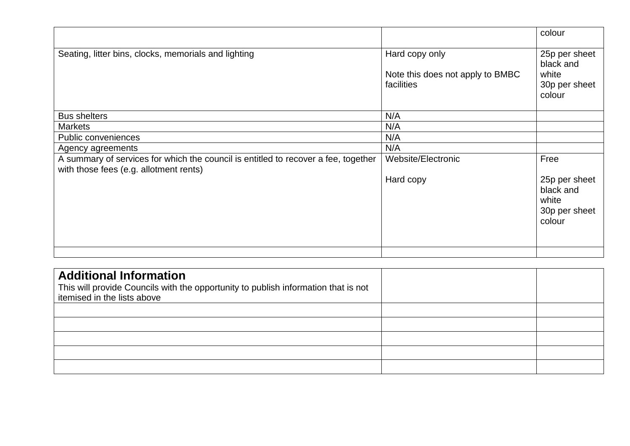|                                                                                                                              |                                                                  | colour                                                         |
|------------------------------------------------------------------------------------------------------------------------------|------------------------------------------------------------------|----------------------------------------------------------------|
| Seating, litter bins, clocks, memorials and lighting                                                                         | Hard copy only<br>Note this does not apply to BMBC<br>facilities | 25p per sheet<br>black and<br>white<br>30p per sheet<br>colour |
| <b>Bus shelters</b>                                                                                                          | N/A                                                              |                                                                |
| <b>Markets</b>                                                                                                               | N/A                                                              |                                                                |
| Public conveniences                                                                                                          | N/A                                                              |                                                                |
| Agency agreements                                                                                                            | N/A                                                              |                                                                |
| A summary of services for which the council is entitled to recover a fee, together<br>with those fees (e.g. allotment rents) | Website/Electronic                                               | Free                                                           |
|                                                                                                                              | Hard copy                                                        | 25p per sheet<br>black and<br>white<br>30p per sheet<br>colour |
|                                                                                                                              |                                                                  |                                                                |

| <b>Additional Information</b><br>This will provide Councils with the opportunity to publish information that is not<br>itemised in the lists above |  |
|----------------------------------------------------------------------------------------------------------------------------------------------------|--|
|                                                                                                                                                    |  |
|                                                                                                                                                    |  |
|                                                                                                                                                    |  |
|                                                                                                                                                    |  |
|                                                                                                                                                    |  |